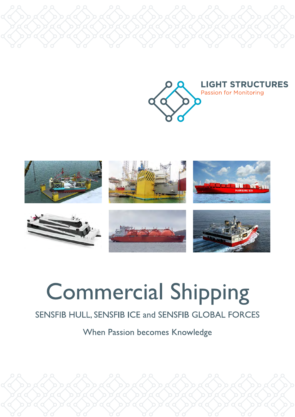



# **Commercial Shipping**

### SENSFIB HULL, SENSFIB ICE and SENSFIB GLOBAL FORCES

When Passion becomes Knowledge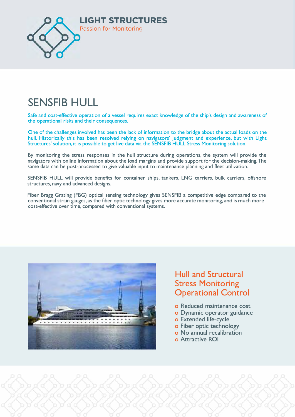

## **SENSFIB HULL**

**Safe and cost-effective operation of a vessel requires exact knowledge of the ship's design and awareness of the operational risks and their consequences.** 

**One of the challenges involved has been the lack of information to the bridge about the actual loads on the hull. Historically this has been resolved relying on navigators' judgment and experience, but with Light Structures' solution, it is possible to get live data via the SENSFIB HULL Stress Monitoring solution.** 

**By monitoring the stress responses in the hull structure during operations, the system will provide the navigators with online information about the load margins and provide support for the decision-making. The same data can be post-processed to give valuable input to maintenance planning and fleet utilization.** 

**SENSFIB HULL will provide benefits for container ships, tankers, LNG carriers, bulk carriers, offshore structures, navy and advanced designs.** 

**Fiber Bragg Grating (FBG) optical sensing technology gives SENSFIB a competitive edge compared to the conventional strain gauges, as the fiber optic technology gives more accurate monitoring, and is much more cost-effective over time, compared with conventional systems.** 



#### **Hull and Structural Stress Monitoring Operational Control**

- o Reduced maintenance cost
- o Dynamic operator guidance
- o Extended life-cycle
- o Fiber optic technology
- o No annual recalibration
- o Attractive ROI

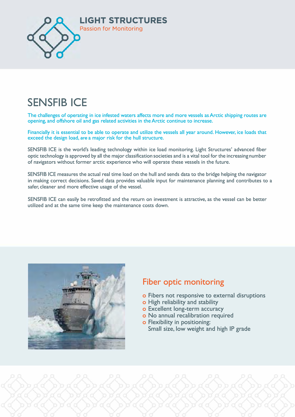

## **SENSFIB ICE**

**The challenges of operating in ice infested waters affects more and more vessels as Arctic shipping routes are opening, and offshore oil and gas related activities in the Arctic continue to increase.** 

**Financially it is essential to be able to operate and utilize the vessels all year around. However, ice loads that exceed the design load, are a major risk for the hull structure.** 

**SENSFIB ICE is the world's leading technology within ice load monitoring. Light Structures' advanced fiber optic technology is approved by all the major classification societies and is a vital tool for the increasing number of navigators without former arctic experience who will operate these vessels in the future.** 

**SENSFIB ICE measures the actual real time load on the hull and sends data to the bridge helping the navigator in making correct decisions. Saved data provides valuable input for maintenance planning and contributes to a safer, cleaner and more effective usage of the vessel.** 

**SENSFIB ICE can easily be retrofitted and the return on investment is attractive, as the vessel can be better utilized and at the same time keep the maintenance costs down.** 



#### **Fiber optic monitoring**

- o Fibers not responsive to external disruptions
- o High reliability and stability
- o Excellent long-term accuracy
- o No annual recalibration required
- o Flexibility in positioning: Small size, low weight and high IP grade